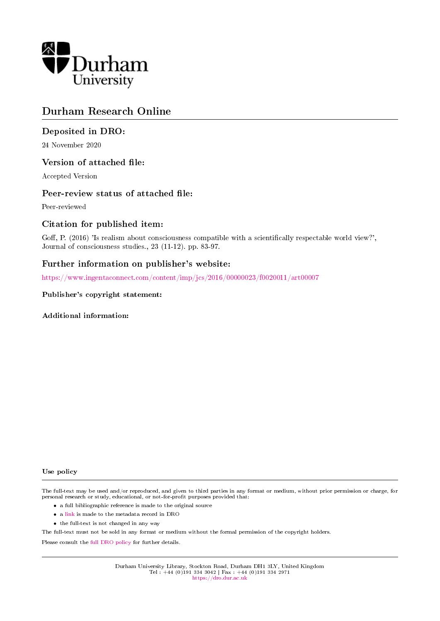

# Durham Research Online

## Deposited in DRO:

24 November 2020

## Version of attached file:

Accepted Version

## Peer-review status of attached file:

Peer-reviewed

## Citation for published item:

Goff, P. (2016) 'Is realism about consciousness compatible with a scientifically respectable world view?', Journal of consciousness studies., 23 (11-12). pp. 83-97.

## Further information on publisher's website:

<https://www.ingentaconnect.com/content/imp/jcs/2016/00000023/f0020011/art00007>

### Publisher's copyright statement:

Additional information:

#### Use policy

The full-text may be used and/or reproduced, and given to third parties in any format or medium, without prior permission or charge, for personal research or study, educational, or not-for-profit purposes provided that:

- a full bibliographic reference is made to the original source
- a [link](http://dro.dur.ac.uk/32228/) is made to the metadata record in DRO
- the full-text is not changed in any way

The full-text must not be sold in any format or medium without the formal permission of the copyright holders.

Please consult the [full DRO policy](https://dro.dur.ac.uk/policies/usepolicy.pdf) for further details.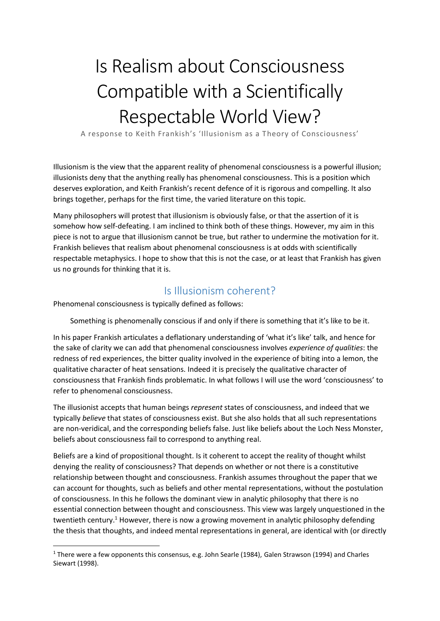# Is Realism about Consciousness Compatible with a Scientifically Respectable World View?

A response to Keith Frankish's 'Illusionism as a Theory of Consciousness'

Illusionism is the view that the apparent reality of phenomenal consciousness is a powerful illusion; illusionists deny that the anything really has phenomenal consciousness. This is a position which deserves exploration, and Keith Frankish's recent defence of it is rigorous and compelling. It also brings together, perhaps for the first time, the varied literature on this topic.

Many philosophers will protest that illusionism is obviously false, or that the assertion of it is somehow how self-defeating. I am inclined to think both of these things. However, my aim in this piece is not to argue that illusionism cannot be true, but rather to undermine the motivation for it. Frankish believes that realism about phenomenal consciousness is at odds with scientifically respectable metaphysics. I hope to show that this is not the case, or at least that Frankish has given us no grounds for thinking that it is.

# Is Illusionism coherent?

Phenomenal consciousness is typically defined as follows:

**.** 

Something is phenomenally conscious if and only if there is something that it's like to be it.

In his paper Frankish articulates a deflationary understanding of 'what it's like' talk, and hence for the sake of clarity we can add that phenomenal consciousness involves *experience of qualities*: the redness of red experiences, the bitter quality involved in the experience of biting into a lemon, the qualitative character of heat sensations. Indeed it is precisely the qualitative character of consciousness that Frankish finds problematic. In what follows I will use the word 'consciousness' to refer to phenomenal consciousness.

The illusionist accepts that human beings *represent* states of consciousness, and indeed that we typically *believe* that states of consciousness exist. But she also holds that all such representations are non-veridical, and the corresponding beliefs false. Just like beliefs about the Loch Ness Monster, beliefs about consciousness fail to correspond to anything real.

Beliefs are a kind of propositional thought. Is it coherent to accept the reality of thought whilst denying the reality of consciousness? That depends on whether or not there is a constitutive relationship between thought and consciousness. Frankish assumes throughout the paper that we can account for thoughts, such as beliefs and other mental representations, without the postulation of consciousness. In this he follows the dominant view in analytic philosophy that there is no essential connection between thought and consciousness. This view was largely unquestioned in the twentieth century.<sup>1</sup> However, there is now a growing movement in analytic philosophy defending the thesis that thoughts, and indeed mental representations in general, are identical with (or directly

<sup>1</sup> There were a few opponents this consensus, e.g. John Searle (1984), Galen Strawson (1994) and Charles Siewart (1998).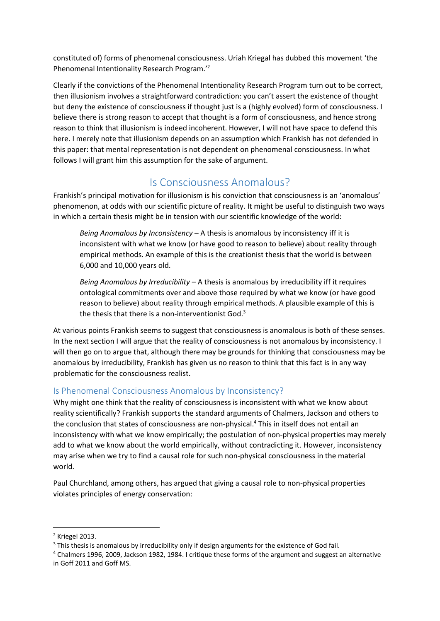constituted of) forms of phenomenal consciousness. Uriah Kriegal has dubbed this movement 'the Phenomenal Intentionality Research Program.'<sup>2</sup>

Clearly if the convictions of the Phenomenal Intentionality Research Program turn out to be correct, then illusionism involves a straightforward contradiction: you can't assert the existence of thought but deny the existence of consciousness if thought just is a (highly evolved) form of consciousness. I believe there is strong reason to accept that thought is a form of consciousness, and hence strong reason to think that illusionism is indeed incoherent. However, I will not have space to defend this here. I merely note that illusionism depends on an assumption which Frankish has not defended in this paper: that mental representation is not dependent on phenomenal consciousness. In what follows I will grant him this assumption for the sake of argument.

# Is Consciousness Anomalous?

Frankish's principal motivation for illusionism is his conviction that consciousness is an 'anomalous' phenomenon, at odds with our scientific picture of reality. It might be useful to distinguish two ways in which a certain thesis might be in tension with our scientific knowledge of the world:

*Being Anomalous by Inconsistency* – A thesis is anomalous by inconsistency iff it is inconsistent with what we know (or have good to reason to believe) about reality through empirical methods. An example of this is the creationist thesis that the world is between 6,000 and 10,000 years old.

*Being Anomalous by Irreducibility* – A thesis is anomalous by irreducibility iff it requires ontological commitments over and above those required by what we know (or have good reason to believe) about reality through empirical methods. A plausible example of this is the thesis that there is a non-interventionist God.<sup>3</sup>

At various points Frankish seems to suggest that consciousness is anomalous is both of these senses. In the next section I will argue that the reality of consciousness is not anomalous by inconsistency. I will then go on to argue that, although there may be grounds for thinking that consciousness may be anomalous by irreducibility, Frankish has given us no reason to think that this fact is in any way problematic for the consciousness realist.

# Is Phenomenal Consciousness Anomalous by Inconsistency?

Why might one think that the reality of consciousness is inconsistent with what we know about reality scientifically? Frankish supports the standard arguments of Chalmers, Jackson and others to the conclusion that states of consciousness are non-physical. <sup>4</sup> This in itself does not entail an inconsistency with what we know empirically; the postulation of non-physical properties may merely add to what we know about the world empirically, without contradicting it. However, inconsistency may arise when we try to find a causal role for such non-physical consciousness in the material world.

Paul Churchland, among others, has argued that giving a causal role to non-physical properties violates principles of energy conservation:

<sup>2</sup> Kriegel 2013.

<sup>&</sup>lt;sup>3</sup> This thesis is anomalous by irreducibility only if design arguments for the existence of God fail.

<sup>4</sup> Chalmers 1996, 2009, Jackson 1982, 1984. I critique these forms of the argument and suggest an alternative in Goff 2011 and Goff MS.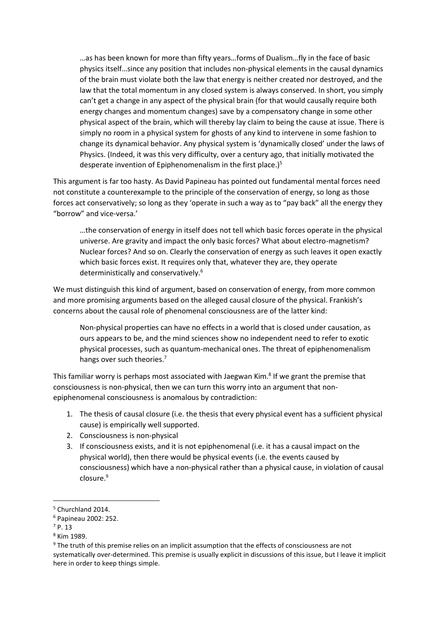…as has been known for more than fifty years…forms of Dualism…fly in the face of basic physics itself…since any position that includes non-physical elements in the causal dynamics of the brain must violate both the law that energy is neither created nor destroyed, and the law that the total momentum in any closed system is always conserved. In short, you simply can't get a change in any aspect of the physical brain (for that would causally require both energy changes and momentum changes) save by a compensatory change in some other physical aspect of the brain, which will thereby lay claim to being the cause at issue. There is simply no room in a physical system for ghosts of any kind to intervene in some fashion to change its dynamical behavior. Any physical system is 'dynamically closed' under the laws of Physics. (Indeed, it was this very difficulty, over a century ago, that initially motivated the desperate invention of Epiphenomenalism in the first place.)<sup>5</sup>

This argument is far too hasty. As David Papineau has pointed out fundamental mental forces need not constitute a counterexample to the principle of the conservation of energy, so long as those forces act conservatively; so long as they 'operate in such a way as to "pay back" all the energy they "borrow" and vice-versa.'

…the conservation of energy in itself does not tell which basic forces operate in the physical universe. Are gravity and impact the only basic forces? What about electro-magnetism? Nuclear forces? And so on. Clearly the conservation of energy as such leaves it open exactly which basic forces exist. It requires only that, whatever they are, they operate deterministically and conservatively.<sup>6</sup>

We must distinguish this kind of argument, based on conservation of energy, from more common and more promising arguments based on the alleged causal closure of the physical. Frankish's concerns about the causal role of phenomenal consciousness are of the latter kind:

Non-physical properties can have no effects in a world that is closed under causation, as ours appears to be, and the mind sciences show no independent need to refer to exotic physical processes, such as quantum-mechanical ones. The threat of epiphenomenalism hangs over such theories.<sup>7</sup>

This familiar worry is perhaps most associated with Jaegwan Kim.<sup>8</sup> If we grant the premise that consciousness is non-physical, then we can turn this worry into an argument that nonepiphenomenal consciousness is anomalous by contradiction:

- 1. The thesis of causal closure (i.e. the thesis that every physical event has a sufficient physical cause) is empirically well supported.
- 2. Consciousness is non-physical
- 3. If consciousness exists, and it is not epiphenomenal (i.e. it has a causal impact on the physical world), then there would be physical events (i.e. the events caused by consciousness) which have a non-physical rather than a physical cause, in violation of causal closure.<sup>9</sup>

 $\overline{a}$ 

<sup>5</sup> Churchland 2014.

<sup>6</sup> Papineau 2002: 252.

 $<sup>7</sup>$  P. 13</sup>

<sup>8</sup> Kim 1989.

<sup>9</sup> The truth of this premise relies on an implicit assumption that the effects of consciousness are not systematically over-determined. This premise is usually explicit in discussions of this issue, but I leave it implicit here in order to keep things simple.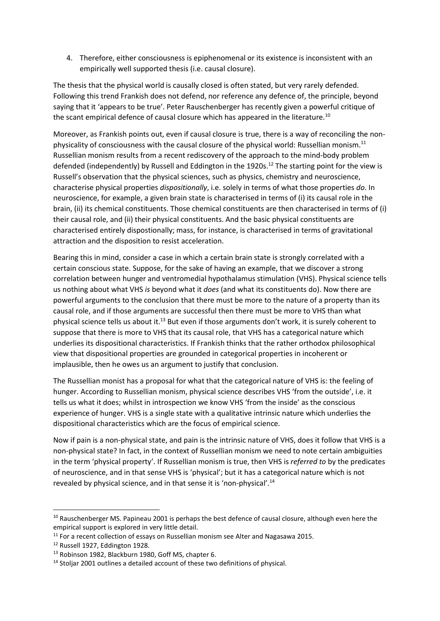4. Therefore, either consciousness is epiphenomenal or its existence is inconsistent with an empirically well supported thesis (i.e. causal closure).

The thesis that the physical world is causally closed is often stated, but very rarely defended. Following this trend Frankish does not defend, nor reference any defence of, the principle, beyond saying that it 'appears to be true'. Peter Rauschenberger has recently given a powerful critique of the scant empirical defence of causal closure which has appeared in the literature.<sup>10</sup>

Moreover, as Frankish points out, even if causal closure is true, there is a way of reconciling the nonphysicality of consciousness with the causal closure of the physical world: Russellian monism.<sup>11</sup> Russellian monism results from a recent rediscovery of the approach to the mind-body problem defended (independently) by Russell and Eddington in the 1920s.<sup>12</sup> The starting point for the view is Russell's observation that the physical sciences, such as physics, chemistry and neuroscience, characterise physical properties *dispositionally*, i.e. solely in terms of what those properties *do*. In neuroscience, for example, a given brain state is characterised in terms of (i) its causal role in the brain, (ii) its chemical constituents. Those chemical constituents are then characterised in terms of (i) their causal role, and (ii) their physical constituents. And the basic physical constituents are characterised entirely dispostionally; mass, for instance, is characterised in terms of gravitational attraction and the disposition to resist acceleration.

Bearing this in mind, consider a case in which a certain brain state is strongly correlated with a certain conscious state. Suppose, for the sake of having an example, that we discover a strong correlation between hunger and ventromedial hypothalamus stimulation (VHS). Physical science tells us nothing about what VHS *is* beyond what it *does* (and what its constituents do). Now there are powerful arguments to the conclusion that there must be more to the nature of a property than its causal role, and if those arguments are successful then there must be more to VHS than what physical science tells us about it.<sup>13</sup> But even if those arguments don't work, it is surely coherent to suppose that there is more to VHS that its causal role, that VHS has a categorical nature which underlies its dispositional characteristics. If Frankish thinks that the rather orthodox philosophical view that dispositional properties are grounded in categorical properties in incoherent or implausible, then he owes us an argument to justify that conclusion.

The Russellian monist has a proposal for what that the categorical nature of VHS is: the feeling of hunger. According to Russellian monism, physical science describes VHS 'from the outside', i.e. it tells us what it does; whilst in introspection we know VHS 'from the inside' as the conscious experience of hunger. VHS is a single state with a qualitative intrinsic nature which underlies the dispositional characteristics which are the focus of empirical science.

Now if pain is a non-physical state, and pain is the intrinsic nature of VHS, does it follow that VHS is a non-physical state? In fact, in the context of Russellian monism we need to note certain ambiguities in the term 'physical property'. If Russellian monism is true, then VHS is *referred to* by the predicates of neuroscience, and in that sense VHS is 'physical'; but it has a categorical nature which is not revealed by physical science, and in that sense it is 'non-physical'.<sup>14</sup>

<sup>&</sup>lt;sup>10</sup> Rauschenberger MS. Papineau 2001 is perhaps the best defence of causal closure, although even here the empirical support is explored in very little detail.

 $11$  For a recent collection of essays on Russellian monism see Alter and Nagasawa 2015.

<sup>12</sup> Russell 1927, Eddington 1928.

<sup>13</sup> Robinson 1982, Blackburn 1980, Goff MS, chapter 6.

<sup>&</sup>lt;sup>14</sup> Stoliar 2001 outlines a detailed account of these two definitions of physical.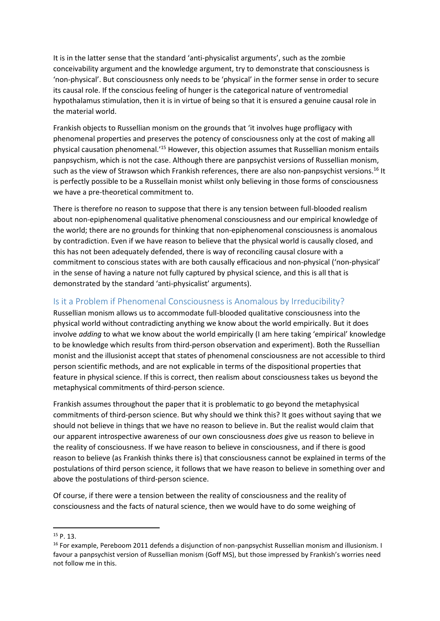It is in the latter sense that the standard 'anti-physicalist arguments', such as the zombie conceivability argument and the knowledge argument, try to demonstrate that consciousness is 'non-physical'. But consciousness only needs to be 'physical' in the former sense in order to secure its causal role. If the conscious feeling of hunger is the categorical nature of ventromedial hypothalamus stimulation, then it is in virtue of being so that it is ensured a genuine causal role in the material world.

Frankish objects to Russellian monism on the grounds that 'it involves huge profligacy with phenomenal properties and preserves the potency of consciousness only at the cost of making all physical causation phenomenal.'<sup>15</sup> However, this objection assumes that Russellian monism entails panpsychism, which is not the case. Although there are panpsychist versions of Russellian monism, such as the view of Strawson which Frankish references, there are also non-panpsychist versions.<sup>16</sup> It is perfectly possible to be a Russellain monist whilst only believing in those forms of consciousness we have a pre-theoretical commitment to.

There is therefore no reason to suppose that there is any tension between full-blooded realism about non-epiphenomenal qualitative phenomenal consciousness and our empirical knowledge of the world; there are no grounds for thinking that non-epiphenomenal consciousness is anomalous by contradiction. Even if we have reason to believe that the physical world is causally closed, and this has not been adequately defended, there is way of reconciling causal closure with a commitment to conscious states with are both causally efficacious and non-physical ('non-physical' in the sense of having a nature not fully captured by physical science, and this is all that is demonstrated by the standard 'anti-physicalist' arguments).

# Is it a Problem if Phenomenal Consciousness is Anomalous by Irreducibility?

Russellian monism allows us to accommodate full-blooded qualitative consciousness into the physical world without contradicting anything we know about the world empirically. But it does involve *adding* to what we know about the world empirically (I am here taking 'empirical' knowledge to be knowledge which results from third-person observation and experiment). Both the Russellian monist and the illusionist accept that states of phenomenal consciousness are not accessible to third person scientific methods, and are not explicable in terms of the dispositional properties that feature in physical science. If this is correct, then realism about consciousness takes us beyond the metaphysical commitments of third-person science.

Frankish assumes throughout the paper that it is problematic to go beyond the metaphysical commitments of third-person science. But why should we think this? It goes without saying that we should not believe in things that we have no reason to believe in. But the realist would claim that our apparent introspective awareness of our own consciousness *does* give us reason to believe in the reality of consciousness. If we have reason to believe in consciousness, and if there is good reason to believe (as Frankish thinks there is) that consciousness cannot be explained in terms of the postulations of third person science, it follows that we have reason to believe in something over and above the postulations of third-person science.

Of course, if there were a tension between the reality of consciousness and the reality of consciousness and the facts of natural science, then we would have to do some weighing of

<sup>15</sup> P. 13.

<sup>&</sup>lt;sup>16</sup> For example, Pereboom 2011 defends a disjunction of non-panpsychist Russellian monism and illusionism. I favour a panpsychist version of Russellian monism (Goff MS), but those impressed by Frankish's worries need not follow me in this.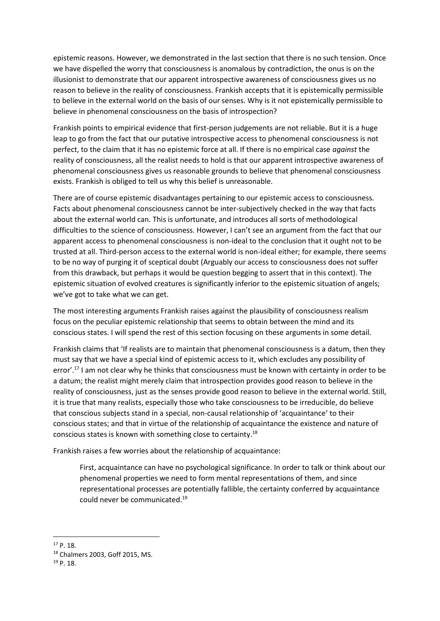epistemic reasons. However, we demonstrated in the last section that there is no such tension. Once we have dispelled the worry that consciousness is anomalous by contradiction, the onus is on the illusionist to demonstrate that our apparent introspective awareness of consciousness gives us no reason to believe in the reality of consciousness. Frankish accepts that it is epistemically permissible to believe in the external world on the basis of our senses. Why is it not epistemically permissible to believe in phenomenal consciousness on the basis of introspection?

Frankish points to empirical evidence that first-person judgements are not reliable. But it is a huge leap to go from the fact that our putative introspective access to phenomenal consciousness is not perfect, to the claim that it has no epistemic force at all. If there is no empirical case *against* the reality of consciousness, all the realist needs to hold is that our apparent introspective awareness of phenomenal consciousness gives us reasonable grounds to believe that phenomenal consciousness exists. Frankish is obliged to tell us why this belief is unreasonable.

There are of course epistemic disadvantages pertaining to our epistemic access to consciousness. Facts about phenomenal consciousness cannot be inter-subjectively checked in the way that facts about the external world can. This is unfortunate, and introduces all sorts of methodological difficulties to the science of consciousness. However, I can't see an argument from the fact that our apparent access to phenomenal consciousness is non-ideal to the conclusion that it ought not to be trusted at all. Third-person access to the external world is non-ideal either; for example, there seems to be no way of purging it of sceptical doubt (Arguably our access to consciousness does not suffer from this drawback, but perhaps it would be question begging to assert that in this context). The epistemic situation of evolved creatures is significantly inferior to the epistemic situation of angels; we've got to take what we can get.

The most interesting arguments Frankish raises against the plausibility of consciousness realism focus on the peculiar epistemic relationship that seems to obtain between the mind and its conscious states. I will spend the rest of this section focusing on these arguments in some detail.

Frankish claims that 'If realists are to maintain that phenomenal consciousness is a datum, then they must say that we have a special kind of epistemic access to it, which excludes any possibility of error'.<sup>17</sup> I am not clear why he thinks that consciousness must be known with certainty in order to be a datum; the realist might merely claim that introspection provides good reason to believe in the reality of consciousness, just as the senses provide good reason to believe in the external world. Still, it is true that many realists, especially those who take consciousness to be irreducible, do believe that conscious subjects stand in a special, non-causal relationship of 'acquaintance' to their conscious states; and that in virtue of the relationship of acquaintance the existence and nature of conscious states is known with something close to certainty.<sup>18</sup>

Frankish raises a few worries about the relationship of acquaintance:

First, acquaintance can have no psychological significance. In order to talk or think about our phenomenal properties we need to form mental representations of them, and since representational processes are potentially fallible, the certainty conferred by acquaintance could never be communicated.<sup>19</sup>

**<sup>.</sup>** <sup>17</sup> P. 18.

<sup>18</sup> Chalmers 2003, Goff 2015, MS.

<sup>19</sup> P. 18.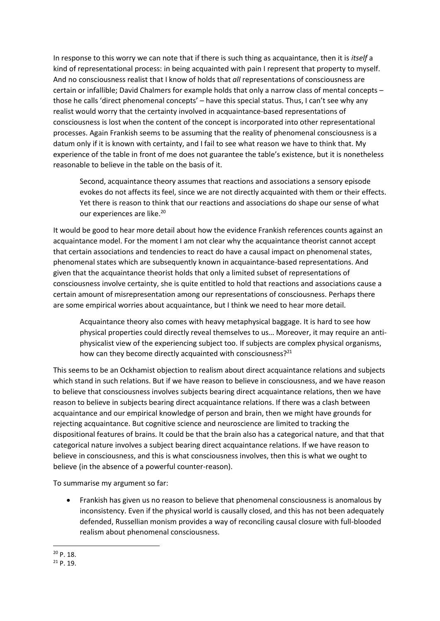In response to this worry we can note that if there is such thing as acquaintance, then it is *itself* a kind of representational process: in being acquainted with pain I represent that property to myself. And no consciousness realist that I know of holds that *all* representations of consciousness are certain or infallible; David Chalmers for example holds that only a narrow class of mental concepts – those he calls 'direct phenomenal concepts' – have this special status. Thus, I can't see why any realist would worry that the certainty involved in acquaintance-based representations of consciousness is lost when the content of the concept is incorporated into other representational processes. Again Frankish seems to be assuming that the reality of phenomenal consciousness is a datum only if it is known with certainty, and I fail to see what reason we have to think that. My experience of the table in front of me does not guarantee the table's existence, but it is nonetheless reasonable to believe in the table on the basis of it.

Second, acquaintance theory assumes that reactions and associations a sensory episode evokes do not affects its feel, since we are not directly acquainted with them or their effects. Yet there is reason to think that our reactions and associations do shape our sense of what our experiences are like.<sup>20</sup>

It would be good to hear more detail about how the evidence Frankish references counts against an acquaintance model. For the moment I am not clear why the acquaintance theorist cannot accept that certain associations and tendencies to react do have a causal impact on phenomenal states, phenomenal states which are subsequently known in acquaintance-based representations. And given that the acquaintance theorist holds that only a limited subset of representations of consciousness involve certainty, she is quite entitled to hold that reactions and associations cause a certain amount of misrepresentation among our representations of consciousness. Perhaps there are some empirical worries about acquaintance, but I think we need to hear more detail.

Acquaintance theory also comes with heavy metaphysical baggage. It is hard to see how physical properties could directly reveal themselves to us… Moreover, it may require an antiphysicalist view of the experiencing subject too. If subjects are complex physical organisms, how can they become directly acquainted with consciousness?<sup>21</sup>

This seems to be an Ockhamist objection to realism about direct acquaintance relations and subjects which stand in such relations. But if we have reason to believe in consciousness, and we have reason to believe that consciousness involves subjects bearing direct acquaintance relations, then we have reason to believe in subjects bearing direct acquaintance relations. If there was a clash between acquaintance and our empirical knowledge of person and brain, then we might have grounds for rejecting acquaintance. But cognitive science and neuroscience are limited to tracking the dispositional features of brains. It could be that the brain also has a categorical nature, and that that categorical nature involves a subject bearing direct acquaintance relations. If we have reason to believe in consciousness, and this is what consciousness involves, then this is what we ought to believe (in the absence of a powerful counter-reason).

To summarise my argument so far:

 Frankish has given us no reason to believe that phenomenal consciousness is anomalous by inconsistency. Even if the physical world is causally closed, and this has not been adequately defended, Russellian monism provides a way of reconciling causal closure with full-blooded realism about phenomenal consciousness.

**<sup>.</sup>**  $20$  P. 18.

<sup>21</sup> P. 19.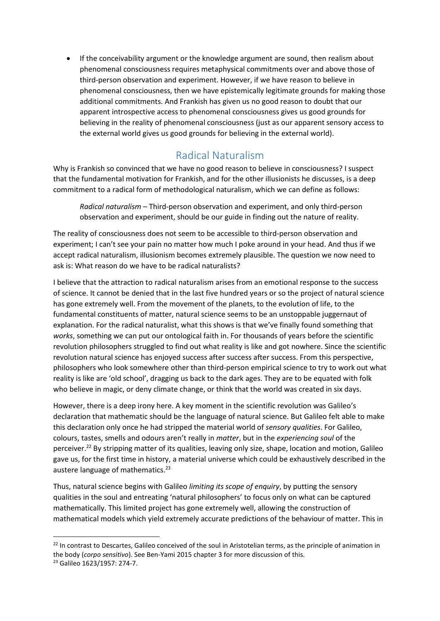If the conceivability argument or the knowledge argument are sound, then realism about phenomenal consciousness requires metaphysical commitments over and above those of third-person observation and experiment. However, if we have reason to believe in phenomenal consciousness, then we have epistemically legitimate grounds for making those additional commitments. And Frankish has given us no good reason to doubt that our apparent introspective access to phenomenal consciousness gives us good grounds for believing in the reality of phenomenal consciousness (just as our apparent sensory access to the external world gives us good grounds for believing in the external world).

# Radical Naturalism

Why is Frankish so convinced that we have no good reason to believe in consciousness? I suspect that the fundamental motivation for Frankish, and for the other illusionists he discusses, is a deep commitment to a radical form of methodological naturalism, which we can define as follows:

*Radical naturalism* – Third-person observation and experiment, and only third-person observation and experiment, should be our guide in finding out the nature of reality.

The reality of consciousness does not seem to be accessible to third-person observation and experiment; I can't see your pain no matter how much I poke around in your head. And thus if we accept radical naturalism, illusionism becomes extremely plausible. The question we now need to ask is: What reason do we have to be radical naturalists?

I believe that the attraction to radical naturalism arises from an emotional response to the success of science. It cannot be denied that in the last five hundred years or so the project of natural science has gone extremely well. From the movement of the planets, to the evolution of life, to the fundamental constituents of matter, natural science seems to be an unstoppable juggernaut of explanation. For the radical naturalist, what this shows is that we've finally found something that *works*, something we can put our ontological faith in. For thousands of years before the scientific revolution philosophers struggled to find out what reality is like and got nowhere. Since the scientific revolution natural science has enjoyed success after success after success. From this perspective, philosophers who look somewhere other than third-person empirical science to try to work out what reality is like are 'old school', dragging us back to the dark ages. They are to be equated with folk who believe in magic, or deny climate change, or think that the world was created in six days.

However, there is a deep irony here. A key moment in the scientific revolution was Galileo's declaration that mathematic should be the language of natural science. But Galileo felt able to make this declaration only once he had stripped the material world of *sensory qualities*. For Galileo, colours, tastes, smells and odours aren't really in *matter*, but in the *experiencing soul* of the perceiver.<sup>22</sup> By stripping matter of its qualities, leaving only size, shape, location and motion, Galileo gave us, for the first time in history, a material universe which could be exhaustively described in the austere language of mathematics.<sup>23</sup>

Thus, natural science begins with Galileo *limiting its scope of enquiry*, by putting the sensory qualities in the soul and entreating 'natural philosophers' to focus only on what can be captured mathematically. This limited project has gone extremely well, allowing the construction of mathematical models which yield extremely accurate predictions of the behaviour of matter. This in

<sup>&</sup>lt;sup>22</sup> In contrast to Descartes, Galileo conceived of the soul in Aristotelian terms, as the principle of animation in the body (*corpo sensitivo*). See Ben-Yami 2015 chapter 3 for more discussion of this.

<sup>23</sup> Galileo 1623/1957: 274-7.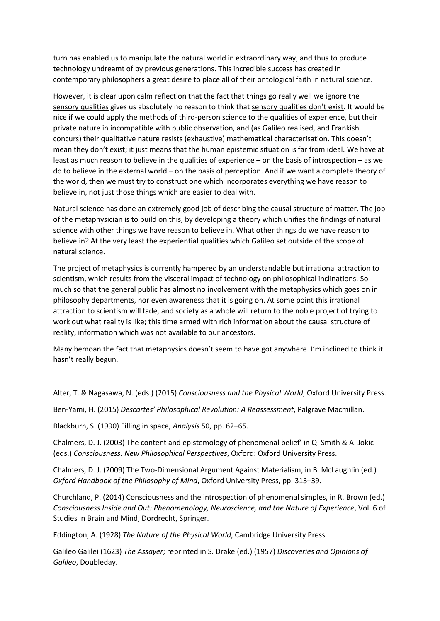turn has enabled us to manipulate the natural world in extraordinary way, and thus to produce technology undreamt of by previous generations. This incredible success has created in contemporary philosophers a great desire to place all of their ontological faith in natural science.

However, it is clear upon calm reflection that the fact that things go really well we ignore the sensory qualities gives us absolutely no reason to think that sensory qualities don't exist. It would be nice if we could apply the methods of third-person science to the qualities of experience, but their private nature in incompatible with public observation, and (as Galileo realised, and Frankish concurs) their qualitative nature resists (exhaustive) mathematical characterisation. This doesn't mean they don't exist; it just means that the human epistemic situation is far from ideal. We have at least as much reason to believe in the qualities of experience – on the basis of introspection – as we do to believe in the external world – on the basis of perception. And if we want a complete theory of the world, then we must try to construct one which incorporates everything we have reason to believe in, not just those things which are easier to deal with.

Natural science has done an extremely good job of describing the causal structure of matter. The job of the metaphysician is to build on this, by developing a theory which unifies the findings of natural science with other things we have reason to believe in. What other things do we have reason to believe in? At the very least the experiential qualities which Galileo set outside of the scope of natural science.

The project of metaphysics is currently hampered by an understandable but irrational attraction to scientism, which results from the visceral impact of technology on philosophical inclinations. So much so that the general public has almost no involvement with the metaphysics which goes on in philosophy departments, nor even awareness that it is going on. At some point this irrational attraction to scientism will fade, and society as a whole will return to the noble project of trying to work out what reality is like; this time armed with rich information about the causal structure of reality, information which was not available to our ancestors.

Many bemoan the fact that metaphysics doesn't seem to have got anywhere. I'm inclined to think it hasn't really begun.

Alter, T. & Nagasawa, N. (eds.) (2015) *Consciousness and the Physical World*, Oxford University Press.

Ben-Yami, H. (2015) *Descartes' Philosophical Revolution: A Reassessment*, Palgrave Macmillan.

Blackburn, S. (1990) Filling in space, *Analysis* 50, pp. 62–65.

Chalmers, D. J. (2003) The content and epistemology of phenomenal belief' in Q. Smith & A. Jokic (eds.) *Consciousness: New Philosophical Perspectives*, Oxford: Oxford University Press.

Chalmers, D. J. (2009) The Two-Dimensional Argument Against Materialism, in B. McLaughlin (ed.) *Oxford Handbook of the Philosophy of Mind*, Oxford University Press, pp. 313–39.

Churchland, P. (2014) Consciousness and the introspection of phenomenal simples, in R. Brown (ed.) *Consciousness Inside and Out: Phenomenology, Neuroscience, and the Nature of Experience*, Vol. 6 of Studies in Brain and Mind, Dordrecht, Springer.

Eddington, A. (1928) *The Nature of the Physical World*, Cambridge University Press.

Galileo Galilei (1623) *The Assayer*; reprinted in S. Drake (ed.) (1957) *Discoveries and Opinions of Galileo*, Doubleday.